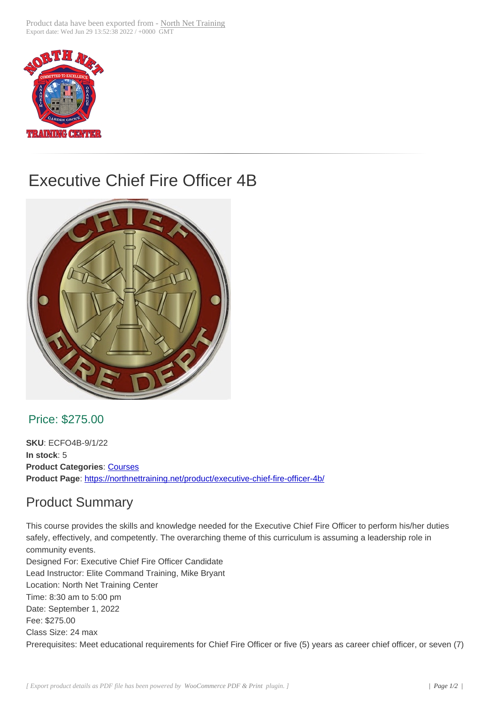

## Executive Chief Fire Officer 4B



## Price: \$275.00

**SKU**: ECFO4B-9/1/22 **In stock**: 5 **Product Categories: Courses Product Page**: https://northnettraining.net/product/executive-chief-fire-officer-4b/

## Product Sum[mary](https://northnettraining.net/product-category/courses/)

This course pro[vides the skills and knowledge needed for the Executive Chief Fir](https://northnettraining.net/product/executive-chief-fire-officer-4b/)e Officer to perform his/her duties safely, effectively, and competently. The overarching theme of this curriculum is assuming a leadership role in community events.

Designed For: Executive Chief Fire Officer Candidate Lead Instructor: Elite Command Training, Mike Bryant Location: North Net Training Center Time: 8:30 am to 5:00 pm Date: September 1, 2022 Fee: \$275.00 Class Size: 24 max Prerequisites: Meet educational requirements for Chief Fire Officer or five (5) years as career chief officer, or seven (7)